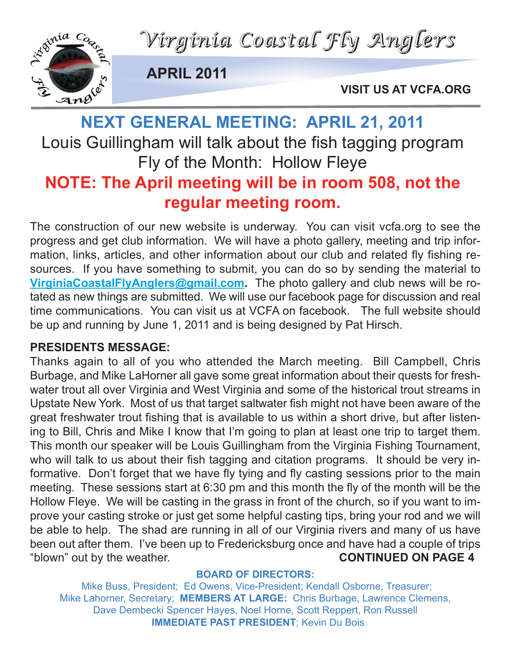*Virginia Coastal Fly Anglers*



**APRIL 2011**

**VISIT US AT VCFA.ORG VISIT US AT VCFA.ORG**

# **Guillingham will talk about the fish tagging pro** Louis Guillingham will talk about the fish tagging program Fly of the Month: Hollow Fleye **NOTE: The April meeting will be in room 508, not the**

**regular meeting room.** The construction of our new website is underway. You can visit vcfa.org to see the progress and get club information. We will have a photo gallery, meeting and trip information, links, articles, and other information about our club and related fly fishing resources. If you have something to submit, you can do so by sending the material to **VirginiaCoastalFlyAnglers@gmail.com.** The photo gallery and club news will be rotated as new things are submitted. We will use our facebook page for discussion and real time communications. You can visit us at VCFA on facebook. The full website should be up and running by June 1, 2011 and is being designed by Pat Hirsch.

## **PRESIDENTS MESSAGE:**

Thanks again to all of you who attended the March meeting. Bill Campbell, Chris Burbage, and Mike LaHorner all gave some great information about their quests for freshwater trout all over Virginia and West Virginia and some of the historical trout streams in Upstate New York. Most of us that target saltwater fish might not have been aware of the great freshwater trout fishing that is available to us within a short drive, but after listening to Bill, Chris and Mike I know that I'm going to plan at least one trip to target them. This month our speaker will be Louis Guillingham from the Virginia Fishing Tournament, who will talk to us about their fish tagging and citation programs. It should be very informative. Don't forget that we have fly tying and fly casting sessions prior to the main meeting. These sessions start at 6:30 pm and this month the fly of the month will be the Hollow Fleye. We will be casting in the grass in front of the church, so if you want to improve your casting stroke or just get some helpful casting tips, bring your rod and we will be able to help. The shad are running in all of our Virginia rivers and many of us have been out after them. I've been up to Fredericksburg once and have had a couple of trips "blown" out by the weather.<br>**BOARD OF DIRECTORS: CONTINUED ON PAGE 4** 

Mike Buss, President; Ed Owens, Vice-President; Kendall Osborne, Treasurer; Mike Lahorner, Secretary; **MEMBERS AT LARGE:** Chris Burbage, Lawrence Clemens, Dave Dembecki Spencer Hayes, Noel Horne, Scott Reppert, Ron Russell **IMMEDIATE PAST PRESIDENT**; Kevin Du Bois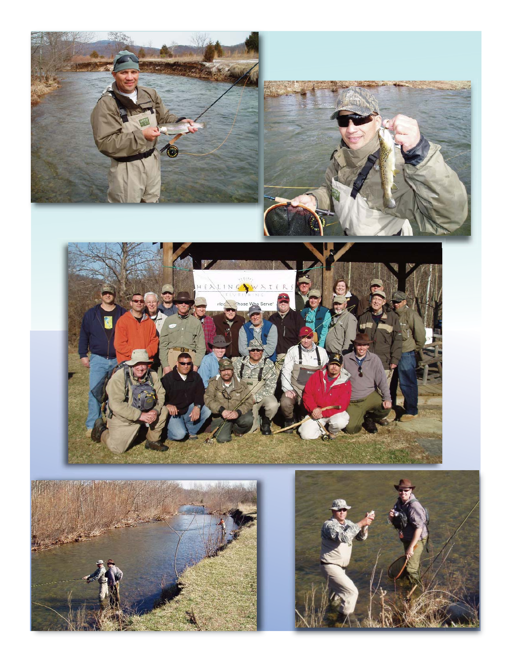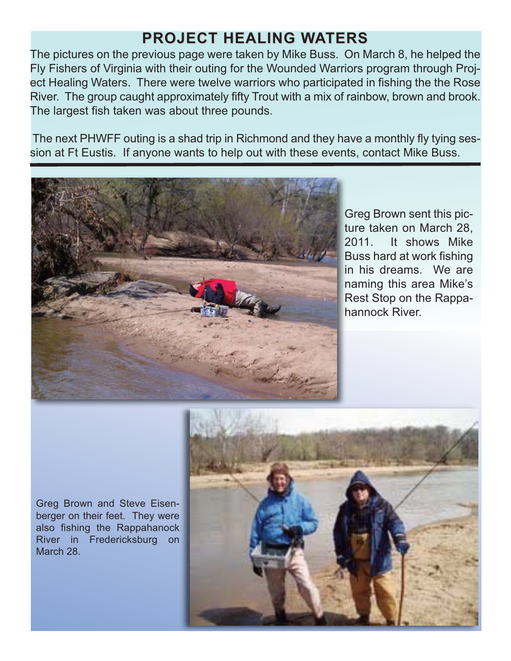## **PROJECT HEALING WATERS**

The pictures on the previous page were taken by Mike Buss. On March 8, he helped the Fly Fishers of Virginia with their outing for the Wounded Warriors program through Project Healing Waters. There were twelve warriors who participated in fishing the the Rose River. The group caught approximately fifty Trout with a mix of rainbow, brown and brook. The largest fish taken was about three pounds.

The next PHWFF outing is a shad trip in Richmond and they have a monthly fly tying session at Ft Eustis. If anyone wants to help out with these events, contact Mike Buss.



Greg Brown sent this picture taken on March 28, 2011. It shows Mike Buss hard at work fishing in his dreams. We are naming this area Mike's Rest Stop on the Rappahannock River.

Greg Brown and Steve Eisenberger on their feet. They were also fishing the Rappahanock River in Fredericksburg on March 28.

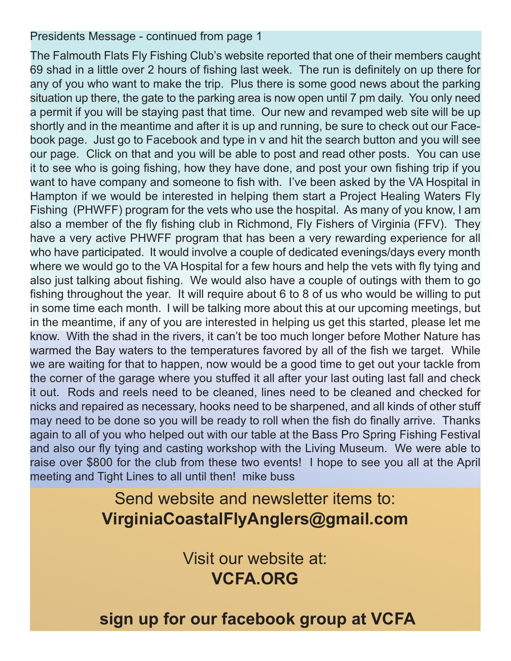Presidents Message - continued from page 1

The Falmouth Flats Fly Fishing Club's website reported that one of their members caught 69 shad in a little over 2 hours of fishing last week. The run is definitely on up there for any of you who want to make the trip. Plus there is some good news about the parking situation up there, the gate to the parking area is now open until 7 pm daily. You only need a permit if you will be staying past that time. Our new and revamped web site will be up shortly and in the meantime and after it is up and running, be sure to check out our Facebook page. Just go to Facebook and type in v and hit the search button and you will see our page. Click on that and you will be able to post and read other posts. You can use it to see who is going fishing, how they have done, and post your own fishing trip if you want to have company and someone to fish with. I've been asked by the VA Hospital in Hampton if we would be interested in helping them start a Project Healing Waters Fly Fishing (PHWFF) program for the vets who use the hospital. As many of you know, I am also a member of the fly fishing club in Richmond, Fly Fishers of Virginia (FFV). They have a very active PHWFF program that has been a very rewarding experience for all who have participated. It would involve a couple of dedicated evenings/days every month where we would go to the VA Hospital for a few hours and help the vets with fly tying and also just talking about fishing. We would also have a couple of outings with them to go fishing throughout the year. It will require about 6 to 8 of us who would be willing to put in some time each month. I will be talking more about this at our upcoming meetings, but in the meantime, if any of you are interested in helping us get this started, please let me know. With the shad in the rivers, it can't be too much longer before Mother Nature has warmed the Bay waters to the temperatures favored by all of the fish we target. While we are waiting for that to happen, now would be a good time to get out your tackle from the corner of the garage where you stuffed it all after your last outing last fall and check it out. Rods and reels need to be cleaned, lines need to be cleaned and checked for nicks and repaired as necessary, hooks need to be sharpened, and all kinds of other stuff may need to be done so you will be ready to roll when the fish do finally arrive. Thanks again to all of you who helped out with our table at the Bass Pro Spring Fishing Festival and also our fly tying and casting workshop with the Living Museum. We were able to raise over \$800 for the club from these two events! I hope to see you all at the April meeting and Tight Lines to all until then! mike buss

> Send website and newsletter items to: **VirginiaCoastalFlyAnglers@gmail.com**

> > Visit our website at: **VCFA.ORG VCFA.ORG**

**sign up for our facebook group at VCFA**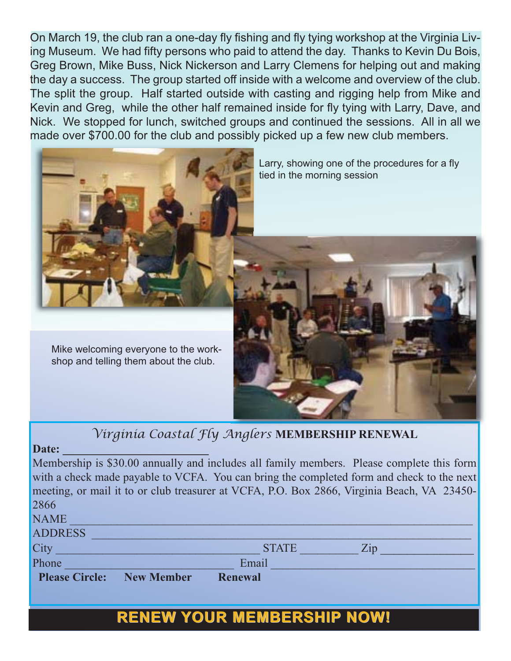On March 19, the club ran a one-day fly fishing and fly tying workshop at the Virginia Living Museum. We had fifty persons who paid to attend the day. Thanks to Kevin Du Bois, Greg Brown, Mike Buss, Nick Nickerson and Larry Clemens for helping out and making the day a success. The group started off inside with a welcome and overview of the club. The split the group. Half started outside with casting and rigging help from Mike and Kevin and Greg, while the other half remained inside for fly tying with Larry, Dave, and Nick. We stopped for lunch, switched groups and continued the sessions. All in all we made over \$700.00 for the club and possibly picked up a few new club members.



Larry, showing one of the procedures for a fly tied in the morning session

Mike welcoming everyone to the workshop and telling them about the club.



 $V$ irginia Coastal Fly Anglers **MEMBERSHIP RENEWAL** 

### Date:

Membership is \$30.00 annually and includes all family members. Please complete this form with a check made payable to VCFA. You can bring the completed form and check to the next meeting, or mail it to or club treasurer at VCFA, P.O. Box 2866, Virginia Beach, VA 23450- 2866

| <b>NAME</b>                      |                |                   |
|----------------------------------|----------------|-------------------|
| <b>ADDRESS</b>                   |                |                   |
| City                             | <b>STATE</b>   | $\overline{Z}$ ip |
| Phone                            | Email          |                   |
| <b>Please Circle:</b> New Member | <b>Renewal</b> |                   |
|                                  |                |                   |

# **RENEW YOUR MEMBERSHIP NOW! RENEW YOUR MEMBERSHIP NOW!**